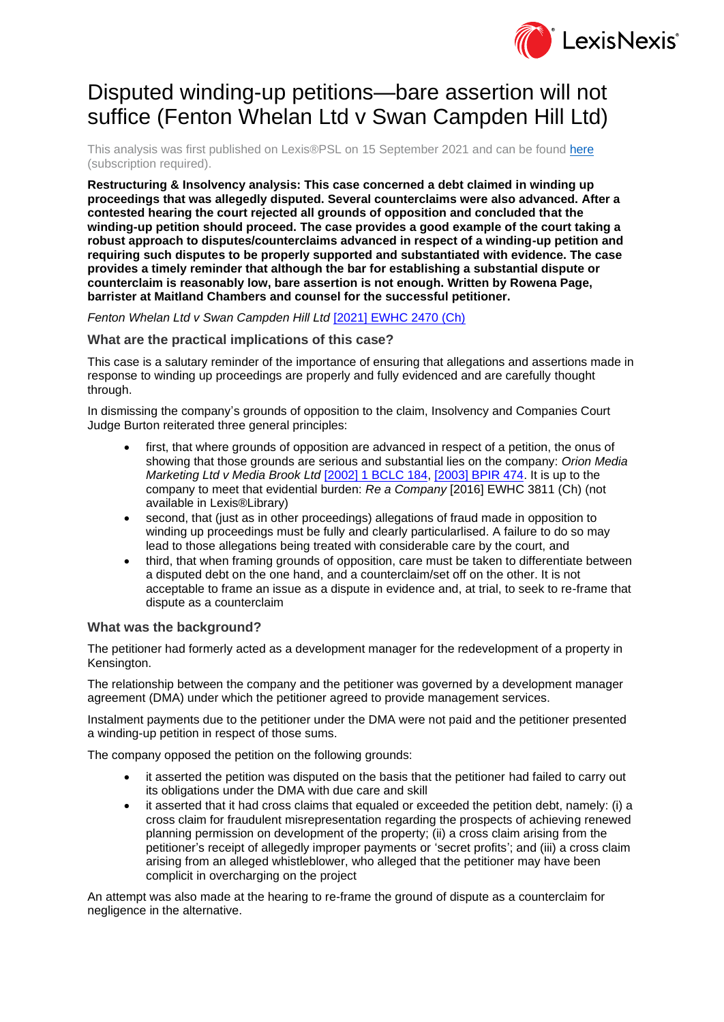

# Disputed winding-up petitions—bare assertion will not suffice (Fenton Whelan Ltd v Swan Campden Hill Ltd)

This analysis was first published on Lexis®PSL on 15 September 2021 and can be found [here](https://www.lexisnexis.com/uk/lexispsl/restructuringandinsolvency/docfromresult/D-WA-A-ZV-ZV-MsSWYWC-UUA-UZEYAAUUW-U-U-U-U-U-U-AZBVEYBABC-AZBWCZBEBC-DEVBYCDCC-U-U/1/412012?lni=63M4-FP43-GXF6-80BD-00000-00) (subscription required).

**Restructuring & Insolvency analysis: This case concerned a debt claimed in winding up proceedings that was allegedly disputed. Several counterclaims were also advanced. After a contested hearing the court rejected all grounds of opposition and concluded that the winding-up petition should proceed. The case provides a good example of the court taking a robust approach to disputes/counterclaims advanced in respect of a winding-up petition and requiring such disputes to be properly supported and substantiated with evidence. The case provides a timely reminder that although the bar for establishing a substantial dispute or counterclaim is reasonably low, bare assertion is not enough. Written by Rowena Page, barrister at Maitland Chambers and counsel for the successful petitioner.**

# *Fenton Whelan Ltd v Swan Campden Hill Ltd* [\[2021\] EWHC 2470 \(Ch\)](https://www.lexisnexis.com/uk/lexispsl/restructuringandinsolvency/citationlinkHandler.faces?bct=A&service=citation&risb=&EWHCCH&$sel1!%252021%25$year!%252021%25$page!%252470%25)

# **What are the practical implications of this case?**

This case is a salutary reminder of the importance of ensuring that allegations and assertions made in response to winding up proceedings are properly and fully evidenced and are carefully thought through.

In dismissing the company's grounds of opposition to the claim, Insolvency and Companies Court Judge Burton reiterated three general principles:

- first, that where grounds of opposition are advanced in respect of a petition, the onus of showing that those grounds are serious and substantial lies on the company: *Orion Media Marketing Ltd v Media Brook Ltd* [\[2002\] 1 BCLC 184,](https://www.lexisnexis.com/uk/lexispsl/restructuringandinsolvency/citationlinkHandler.faces?bct=A&service=citation&risb=&BCLC&$sel1!%252002%25$year!%252002%25$sel2!%251%25$vol!%251%25$page!%25184%25) [\[2003\] BPIR 474.](https://www.lexisnexis.com/uk/lexispsl/restructuringandinsolvency/citationlinkHandler.faces?bct=A&service=citation&risb=&BPIR&$sel1!%252003%25$year!%252003%25$page!%25474%25) It is up to the company to meet that evidential burden: *Re a Company* [2016] EWHC 3811 (Ch) (not available in Lexis®Library)
- second, that (just as in other proceedings) allegations of fraud made in opposition to winding up proceedings must be fully and clearly particularlised. A failure to do so may lead to those allegations being treated with considerable care by the court, and
- third, that when framing grounds of opposition, care must be taken to differentiate between a disputed debt on the one hand, and a counterclaim/set off on the other. It is not acceptable to frame an issue as a dispute in evidence and, at trial, to seek to re-frame that dispute as a counterclaim

### **What was the background?**

The petitioner had formerly acted as a development manager for the redevelopment of a property in Kensington.

The relationship between the company and the petitioner was governed by a development manager agreement (DMA) under which the petitioner agreed to provide management services.

Instalment payments due to the petitioner under the DMA were not paid and the petitioner presented a winding-up petition in respect of those sums.

The company opposed the petition on the following grounds:

- it asserted the petition was disputed on the basis that the petitioner had failed to carry out its obligations under the DMA with due care and skill
- it asserted that it had cross claims that equaled or exceeded the petition debt, namely: (i) a cross claim for fraudulent misrepresentation regarding the prospects of achieving renewed planning permission on development of the property; (ii) a cross claim arising from the petitioner's receipt of allegedly improper payments or 'secret profits'; and (iii) a cross claim arising from an alleged whistleblower, who alleged that the petitioner may have been complicit in overcharging on the project

An attempt was also made at the hearing to re-frame the ground of dispute as a counterclaim for negligence in the alternative.